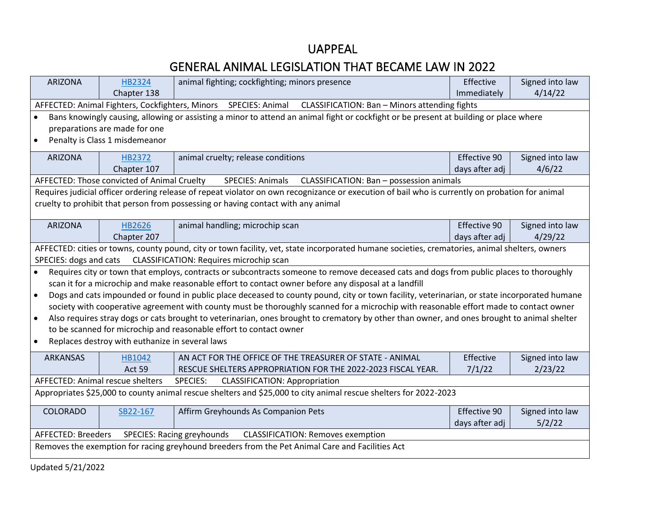## UAPPEAL

## GENERAL ANIMAL LEGISLATION THAT BECAME LAW IN 2022

| <b>ARIZONA</b>                                                                                                   | HB2324                                          | animal fighting; cockfighting; minors presence                                                                                                  | Effective      | Signed into law |
|------------------------------------------------------------------------------------------------------------------|-------------------------------------------------|-------------------------------------------------------------------------------------------------------------------------------------------------|----------------|-----------------|
|                                                                                                                  | Chapter 138                                     |                                                                                                                                                 | Immediately    | 4/14/22         |
|                                                                                                                  |                                                 | AFFECTED: Animal Fighters, Cockfighters, Minors SPECIES: Animal CLASSIFICATION: Ban - Minors attending fights                                   |                |                 |
|                                                                                                                  |                                                 | Bans knowingly causing, allowing or assisting a minor to attend an animal fight or cockfight or be present at building or place where           |                |                 |
|                                                                                                                  | preparations are made for one                   |                                                                                                                                                 |                |                 |
| $\bullet$                                                                                                        | Penalty is Class 1 misdemeanor                  |                                                                                                                                                 |                |                 |
|                                                                                                                  |                                                 |                                                                                                                                                 |                |                 |
| <b>ARIZONA</b>                                                                                                   | HB2372                                          | animal cruelty; release conditions                                                                                                              | Effective 90   | Signed into law |
|                                                                                                                  | Chapter 107                                     |                                                                                                                                                 | days after adj | 4/6/22          |
|                                                                                                                  | AFFECTED: Those convicted of Animal Cruelty     | CLASSIFICATION: Ban - possession animals<br>SPECIES: Animals                                                                                    |                |                 |
|                                                                                                                  |                                                 | Requires judicial officer ordering release of repeat violator on own recognizance or execution of bail who is currently on probation for animal |                |                 |
|                                                                                                                  |                                                 | cruelty to prohibit that person from possessing or having contact with any animal                                                               |                |                 |
| <b>ARIZONA</b>                                                                                                   |                                                 |                                                                                                                                                 | Effective 90   | Signed into law |
|                                                                                                                  | <b>HB2626</b><br>Chapter 207                    | animal handling; microchip scan                                                                                                                 | days after adj | 4/29/22         |
|                                                                                                                  |                                                 |                                                                                                                                                 |                |                 |
|                                                                                                                  |                                                 | AFFECTED: cities or towns, county pound, city or town facility, vet, state incorporated humane societies, crematories, animal shelters, owners  |                |                 |
| SPECIES: dogs and cats                                                                                           |                                                 | CLASSIFICATION: Requires microchip scan                                                                                                         |                |                 |
| $\bullet$                                                                                                        |                                                 | Requires city or town that employs, contracts or subcontracts someone to remove deceased cats and dogs from public places to thoroughly         |                |                 |
|                                                                                                                  |                                                 | scan it for a microchip and make reasonable effort to contact owner before any disposal at a landfill                                           |                |                 |
| $\bullet$                                                                                                        |                                                 | Dogs and cats impounded or found in public place deceased to county pound, city or town facility, veterinarian, or state incorporated humane    |                |                 |
|                                                                                                                  |                                                 | society with cooperative agreement with county must be thoroughly scanned for a microchip with reasonable effort made to contact owner          |                |                 |
| $\bullet$                                                                                                        |                                                 | Also requires stray dogs or cats brought to veterinarian, ones brought to crematory by other than owner, and ones brought to animal shelter     |                |                 |
|                                                                                                                  |                                                 | to be scanned for microchip and reasonable effort to contact owner                                                                              |                |                 |
| $\bullet$                                                                                                        | Replaces destroy with euthanize in several laws |                                                                                                                                                 |                |                 |
| <b>ARKANSAS</b>                                                                                                  | HB1042                                          | AN ACT FOR THE OFFICE OF THE TREASURER OF STATE - ANIMAL                                                                                        | Effective      | Signed into law |
|                                                                                                                  | <b>Act 59</b>                                   | RESCUE SHELTERS APPROPRIATION FOR THE 2022-2023 FISCAL YEAR.                                                                                    | 7/1/22         | 2/23/22         |
|                                                                                                                  | <b>AFFECTED: Animal rescue shelters</b>         | SPECIES:<br><b>CLASSIFICATION: Appropriation</b>                                                                                                |                |                 |
| Appropriates \$25,000 to county animal rescue shelters and \$25,000 to city animal rescue shelters for 2022-2023 |                                                 |                                                                                                                                                 |                |                 |
| <b>COLORADO</b>                                                                                                  | SB22-167                                        | Affirm Greyhounds As Companion Pets                                                                                                             | Effective 90   | Signed into law |
|                                                                                                                  |                                                 |                                                                                                                                                 | days after adj | 5/2/22          |
| <b>AFFECTED: Breeders</b>                                                                                        |                                                 | SPECIES: Racing greyhounds<br><b>CLASSIFICATION: Removes exemption</b>                                                                          |                |                 |
| Removes the exemption for racing greyhound breeders from the Pet Animal Care and Facilities Act                  |                                                 |                                                                                                                                                 |                |                 |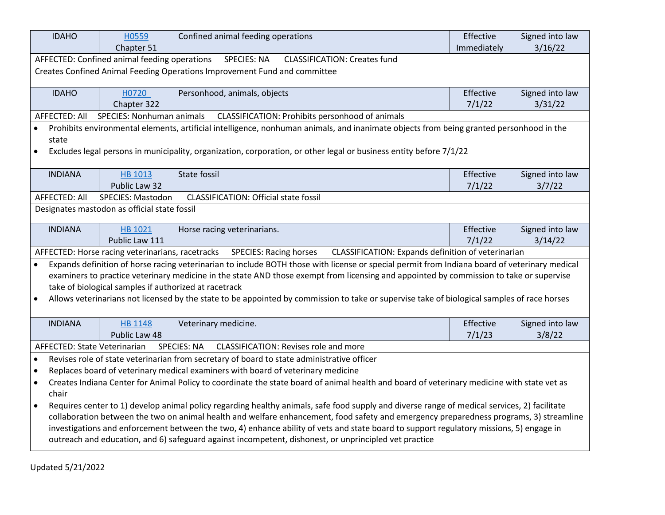| <b>IDAHO</b>                                                                                                                                              | H0559                                                 | Confined animal feeding operations                                                                                                            | Effective   | Signed into law |  |
|-----------------------------------------------------------------------------------------------------------------------------------------------------------|-------------------------------------------------------|-----------------------------------------------------------------------------------------------------------------------------------------------|-------------|-----------------|--|
|                                                                                                                                                           | Chapter 51                                            |                                                                                                                                               | Immediately | 3/16/22         |  |
|                                                                                                                                                           | AFFECTED: Confined animal feeding operations          | <b>SPECIES: NA</b><br><b>CLASSIFICATION: Creates fund</b>                                                                                     |             |                 |  |
|                                                                                                                                                           |                                                       | Creates Confined Animal Feeding Operations Improvement Fund and committee                                                                     |             |                 |  |
|                                                                                                                                                           |                                                       |                                                                                                                                               |             |                 |  |
| <b>IDAHO</b>                                                                                                                                              | H0720                                                 | Personhood, animals, objects                                                                                                                  | Effective   | Signed into law |  |
|                                                                                                                                                           | Chapter 322                                           |                                                                                                                                               | 7/1/22      | 3/31/22         |  |
| AFFECTED: All                                                                                                                                             | <b>SPECIES: Nonhuman animals</b>                      | CLASSIFICATION: Prohibits personhood of animals                                                                                               |             |                 |  |
| state                                                                                                                                                     |                                                       | Prohibits environmental elements, artificial intelligence, nonhuman animals, and inanimate objects from being granted personhood in the       |             |                 |  |
| $\bullet$                                                                                                                                                 |                                                       | Excludes legal persons in municipality, organization, corporation, or other legal or business entity before 7/1/22                            |             |                 |  |
| <b>INDIANA</b>                                                                                                                                            | HB 1013                                               | <b>State fossil</b>                                                                                                                           | Effective   | Signed into law |  |
|                                                                                                                                                           | Public Law 32                                         |                                                                                                                                               | 7/1/22      | 3/7/22          |  |
| <b>AFFECTED: All</b>                                                                                                                                      | SPECIES: Mastodon                                     | <b>CLASSIFICATION: Official state fossil</b>                                                                                                  |             |                 |  |
|                                                                                                                                                           | Designates mastodon as official state fossil          |                                                                                                                                               |             |                 |  |
| <b>INDIANA</b>                                                                                                                                            | HB 1021                                               | Horse racing veterinarians.                                                                                                                   | Effective   | Signed into law |  |
|                                                                                                                                                           | Public Law 111                                        |                                                                                                                                               | 7/1/22      | 3/14/22         |  |
|                                                                                                                                                           | AFFECTED: Horse racing veterinarians, racetracks      | <b>SPECIES: Racing horses</b><br>CLASSIFICATION: Expands definition of veterinarian                                                           |             |                 |  |
| $\bullet$                                                                                                                                                 |                                                       | Expands definition of horse racing veterinarian to include BOTH those with license or special permit from Indiana board of veterinary medical |             |                 |  |
|                                                                                                                                                           |                                                       | examiners to practice veterinary medicine in the state AND those exempt from licensing and appointed by commission to take or supervise       |             |                 |  |
|                                                                                                                                                           | take of biological samples if authorized at racetrack |                                                                                                                                               |             |                 |  |
| $\bullet$                                                                                                                                                 |                                                       | Allows veterinarians not licensed by the state to be appointed by commission to take or supervise take of biological samples of race horses   |             |                 |  |
|                                                                                                                                                           |                                                       |                                                                                                                                               |             |                 |  |
| <b>INDIANA</b>                                                                                                                                            | <b>HB 1148</b>                                        | Veterinary medicine.                                                                                                                          | Effective   | Signed into law |  |
|                                                                                                                                                           | Public Law 48                                         |                                                                                                                                               | 7/1/23      | 3/8/22          |  |
| <b>SPECIES: NA</b><br>CLASSIFICATION: Revises role and more<br>AFFECTED: State Veterinarian                                                               |                                                       |                                                                                                                                               |             |                 |  |
| Revises role of state veterinarian from secretary of board to state administrative officer<br>$\bullet$                                                   |                                                       |                                                                                                                                               |             |                 |  |
| Replaces board of veterinary medical examiners with board of veterinary medicine<br>$\bullet$                                                             |                                                       |                                                                                                                                               |             |                 |  |
| Creates Indiana Center for Animal Policy to coordinate the state board of animal health and board of veterinary medicine with state vet as<br>chair       |                                                       |                                                                                                                                               |             |                 |  |
| Requires center to 1) develop animal policy regarding healthy animals, safe food supply and diverse range of medical services, 2) facilitate<br>$\bullet$ |                                                       |                                                                                                                                               |             |                 |  |
|                                                                                                                                                           |                                                       | collaboration between the two on animal health and welfare enhancement, food safety and emergency preparedness programs, 3) streamline        |             |                 |  |
|                                                                                                                                                           |                                                       | investigations and enforcement between the two, 4) enhance ability of vets and state board to support regulatory missions, 5) engage in       |             |                 |  |
|                                                                                                                                                           |                                                       | outreach and education, and 6) safeguard against incompetent, dishonest, or unprincipled vet practice                                         |             |                 |  |
|                                                                                                                                                           |                                                       |                                                                                                                                               |             |                 |  |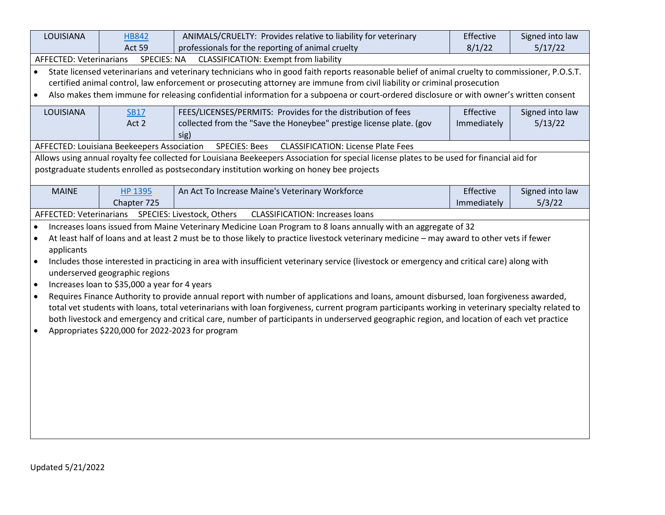| LOUISIANA                      | <b>HB842</b>                                     | ANIMALS/CRUELTY: Provides relative to liability for veterinary                                                                                    | Effective   | Signed into law |  |  |  |
|--------------------------------|--------------------------------------------------|---------------------------------------------------------------------------------------------------------------------------------------------------|-------------|-----------------|--|--|--|
|                                | Act 59                                           | professionals for the reporting of animal cruelty                                                                                                 | 8/1/22      | 5/17/22         |  |  |  |
| <b>AFFECTED: Veterinarians</b> | <b>SPECIES: NA</b>                               | <b>CLASSIFICATION: Exempt from liability</b>                                                                                                      |             |                 |  |  |  |
| $\bullet$                      |                                                  | State licensed veterinarians and veterinary technicians who in good faith reports reasonable belief of animal cruelty to commissioner, P.O.S.T.   |             |                 |  |  |  |
|                                |                                                  | certified animal control, law enforcement or prosecuting attorney are immune from civil liability or criminal prosecution                         |             |                 |  |  |  |
| $\bullet$                      |                                                  | Also makes them immune for releasing confidential information for a subpoena or court-ordered disclosure or with owner's written consent          |             |                 |  |  |  |
| LOUISIANA                      | <b>SB17</b>                                      | FEES/LICENSES/PERMITS: Provides for the distribution of fees                                                                                      | Effective   | Signed into law |  |  |  |
|                                | Act 2                                            | collected from the "Save the Honeybee" prestige license plate. (gov                                                                               | Immediately | 5/13/22         |  |  |  |
|                                |                                                  | sig)                                                                                                                                              |             |                 |  |  |  |
|                                | AFFECTED: Louisiana Beekeepers Association       | <b>SPECIES: Bees</b><br><b>CLASSIFICATION: License Plate Fees</b>                                                                                 |             |                 |  |  |  |
|                                |                                                  | Allows using annual royalty fee collected for Louisiana Beekeepers Association for special license plates to be used for financial aid for        |             |                 |  |  |  |
|                                |                                                  | postgraduate students enrolled as postsecondary institution working on honey bee projects                                                         |             |                 |  |  |  |
| <b>MAINE</b>                   | <b>HP 1395</b>                                   | An Act To Increase Maine's Veterinary Workforce                                                                                                   | Effective   | Signed into law |  |  |  |
|                                | Chapter 725                                      |                                                                                                                                                   | Immediately | 5/3/22          |  |  |  |
| AFFECTED: Veterinarians        |                                                  | SPECIES: Livestock, Others<br><b>CLASSIFICATION: Increases loans</b>                                                                              |             |                 |  |  |  |
|                                |                                                  | Increases loans issued from Maine Veterinary Medicine Loan Program to 8 loans annually with an aggregate of 32                                    |             |                 |  |  |  |
| $\bullet$                      |                                                  | At least half of loans and at least 2 must be to those likely to practice livestock veterinary medicine - may award to other vets if fewer        |             |                 |  |  |  |
| applicants                     |                                                  |                                                                                                                                                   |             |                 |  |  |  |
| $\bullet$                      |                                                  | Includes those interested in practicing in area with insufficient veterinary service (livestock or emergency and critical care) along with        |             |                 |  |  |  |
|                                | underserved geographic regions                   |                                                                                                                                                   |             |                 |  |  |  |
| $\bullet$                      | Increases loan to \$35,000 a year for 4 years    |                                                                                                                                                   |             |                 |  |  |  |
| $\bullet$                      |                                                  | Requires Finance Authority to provide annual report with number of applications and loans, amount disbursed, loan forgiveness awarded,            |             |                 |  |  |  |
|                                |                                                  | total vet students with loans, total veterinarians with loan forgiveness, current program participants working in veterinary specialty related to |             |                 |  |  |  |
|                                |                                                  | both livestock and emergency and critical care, number of participants in underserved geographic region, and location of each vet practice        |             |                 |  |  |  |
| $\bullet$                      | Appropriates \$220,000 for 2022-2023 for program |                                                                                                                                                   |             |                 |  |  |  |
|                                |                                                  |                                                                                                                                                   |             |                 |  |  |  |
|                                |                                                  |                                                                                                                                                   |             |                 |  |  |  |
|                                |                                                  |                                                                                                                                                   |             |                 |  |  |  |
|                                |                                                  |                                                                                                                                                   |             |                 |  |  |  |
|                                |                                                  |                                                                                                                                                   |             |                 |  |  |  |
|                                |                                                  |                                                                                                                                                   |             |                 |  |  |  |
|                                |                                                  |                                                                                                                                                   |             |                 |  |  |  |
|                                |                                                  |                                                                                                                                                   |             |                 |  |  |  |
|                                |                                                  |                                                                                                                                                   |             |                 |  |  |  |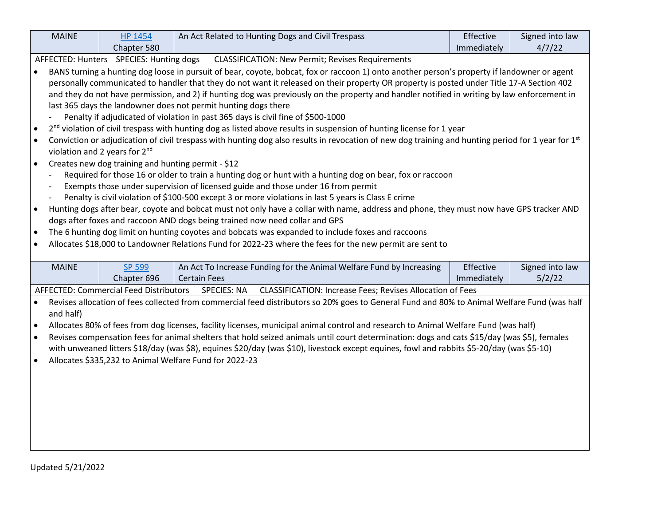|           | <b>MAINE</b>                                                                                                                                | <b>HP 1454</b>                                     |                                                                | An Act Related to Hunting Dogs and Civil Trespass                                                                                                              | Effective   | Signed into law |  |
|-----------|---------------------------------------------------------------------------------------------------------------------------------------------|----------------------------------------------------|----------------------------------------------------------------|----------------------------------------------------------------------------------------------------------------------------------------------------------------|-------------|-----------------|--|
|           |                                                                                                                                             | Chapter 580                                        |                                                                |                                                                                                                                                                | Immediately | 4/7/22          |  |
|           |                                                                                                                                             | AFFECTED: Hunters SPECIES: Hunting dogs            |                                                                | <b>CLASSIFICATION: New Permit; Revises Requirements</b>                                                                                                        |             |                 |  |
|           |                                                                                                                                             |                                                    |                                                                | BANS turning a hunting dog loose in pursuit of bear, coyote, bobcat, fox or raccoon 1) onto another person's property if landowner or agent                    |             |                 |  |
|           |                                                                                                                                             |                                                    |                                                                | personally communicated to handler that they do not want it released on their property OR property is posted under Title 17-A Section 402                      |             |                 |  |
|           |                                                                                                                                             |                                                    |                                                                | and they do not have permission, and 2) if hunting dog was previously on the property and handler notified in writing by law enforcement in                    |             |                 |  |
|           |                                                                                                                                             |                                                    | last 365 days the landowner does not permit hunting dogs there |                                                                                                                                                                |             |                 |  |
|           |                                                                                                                                             |                                                    |                                                                | Penalty if adjudicated of violation in past 365 days is civil fine of \$500-1000                                                                               |             |                 |  |
| $\bullet$ |                                                                                                                                             |                                                    |                                                                | 2 <sup>nd</sup> violation of civil trespass with hunting dog as listed above results in suspension of hunting license for 1 year                               |             |                 |  |
| $\bullet$ |                                                                                                                                             |                                                    |                                                                | Conviction or adjudication of civil trespass with hunting dog also results in revocation of new dog training and hunting period for 1 year for 1 <sup>st</sup> |             |                 |  |
|           |                                                                                                                                             | violation and 2 years for 2 <sup>nd</sup>          |                                                                |                                                                                                                                                                |             |                 |  |
| $\bullet$ |                                                                                                                                             | Creates new dog training and hunting permit - \$12 |                                                                |                                                                                                                                                                |             |                 |  |
|           |                                                                                                                                             |                                                    |                                                                | Required for those 16 or older to train a hunting dog or hunt with a hunting dog on bear, fox or raccoon                                                       |             |                 |  |
|           |                                                                                                                                             |                                                    |                                                                | Exempts those under supervision of licensed guide and those under 16 from permit                                                                               |             |                 |  |
|           |                                                                                                                                             |                                                    |                                                                | Penalty is civil violation of \$100-500 except 3 or more violations in last 5 years is Class E crime                                                           |             |                 |  |
| $\bullet$ |                                                                                                                                             |                                                    |                                                                | Hunting dogs after bear, coyote and bobcat must not only have a collar with name, address and phone, they must now have GPS tracker AND                        |             |                 |  |
|           |                                                                                                                                             |                                                    |                                                                | dogs after foxes and raccoon AND dogs being trained now need collar and GPS                                                                                    |             |                 |  |
| $\bullet$ |                                                                                                                                             |                                                    |                                                                | The 6 hunting dog limit on hunting coyotes and bobcats was expanded to include foxes and raccoons                                                              |             |                 |  |
| $\bullet$ |                                                                                                                                             |                                                    |                                                                | Allocates \$18,000 to Landowner Relations Fund for 2022-23 where the fees for the new permit are sent to                                                       |             |                 |  |
|           |                                                                                                                                             |                                                    |                                                                |                                                                                                                                                                |             |                 |  |
|           | <b>MAINE</b>                                                                                                                                | <b>SP 599</b>                                      |                                                                | An Act To Increase Funding for the Animal Welfare Fund by Increasing                                                                                           | Effective   | Signed into law |  |
|           |                                                                                                                                             | Chapter 696                                        | <b>Certain Fees</b>                                            |                                                                                                                                                                | Immediately | 5/2/22          |  |
|           |                                                                                                                                             | <b>AFFECTED: Commercial Feed Distributors</b>      | <b>SPECIES: NA</b>                                             | <b>CLASSIFICATION: Increase Fees; Revises Allocation of Fees</b>                                                                                               |             |                 |  |
| $\bullet$ |                                                                                                                                             |                                                    |                                                                | Revises allocation of fees collected from commercial feed distributors so 20% goes to General Fund and 80% to Animal Welfare Fund (was half                    |             |                 |  |
|           | and half)                                                                                                                                   |                                                    |                                                                |                                                                                                                                                                |             |                 |  |
| $\bullet$ | Allocates 80% of fees from dog licenses, facility licenses, municipal animal control and research to Animal Welfare Fund (was half)         |                                                    |                                                                |                                                                                                                                                                |             |                 |  |
| $\bullet$ | Revises compensation fees for animal shelters that hold seized animals until court determination: dogs and cats \$15/day (was \$5), females |                                                    |                                                                |                                                                                                                                                                |             |                 |  |
|           | with unweaned litters \$18/day (was \$8), equines \$20/day (was \$10), livestock except equines, fowl and rabbits \$5-20/day (was \$5-10)   |                                                    |                                                                |                                                                                                                                                                |             |                 |  |
| $\bullet$ | Allocates \$335,232 to Animal Welfare Fund for 2022-23                                                                                      |                                                    |                                                                |                                                                                                                                                                |             |                 |  |
|           |                                                                                                                                             |                                                    |                                                                |                                                                                                                                                                |             |                 |  |
|           |                                                                                                                                             |                                                    |                                                                |                                                                                                                                                                |             |                 |  |
|           |                                                                                                                                             |                                                    |                                                                |                                                                                                                                                                |             |                 |  |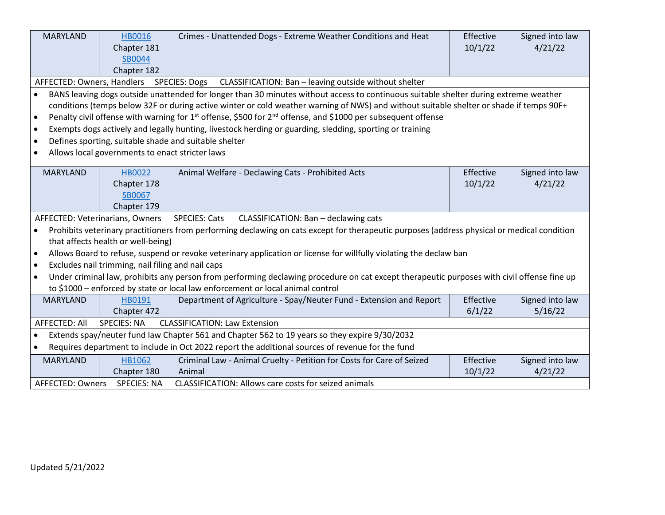| <b>MARYLAND</b>                                                             | <b>HB0016</b>                                                                                         | Crimes - Unattended Dogs - Extreme Weather Conditions and Heat                                                                              | Effective | Signed into law |  |  |
|-----------------------------------------------------------------------------|-------------------------------------------------------------------------------------------------------|---------------------------------------------------------------------------------------------------------------------------------------------|-----------|-----------------|--|--|
|                                                                             | Chapter 181                                                                                           |                                                                                                                                             | 10/1/22   | 4/21/22         |  |  |
|                                                                             | SB0044                                                                                                |                                                                                                                                             |           |                 |  |  |
|                                                                             | Chapter 182                                                                                           |                                                                                                                                             |           |                 |  |  |
| AFFECTED: Owners, Handlers                                                  |                                                                                                       | <b>SPECIES: Dogs</b><br>CLASSIFICATION: Ban - leaving outside without shelter                                                               |           |                 |  |  |
| $\bullet$                                                                   |                                                                                                       | BANS leaving dogs outside unattended for longer than 30 minutes without access to continuous suitable shelter during extreme weather        |           |                 |  |  |
|                                                                             |                                                                                                       | conditions (temps below 32F or during active winter or cold weather warning of NWS) and without suitable shelter or shade if temps 90F+     |           |                 |  |  |
| $\bullet$                                                                   |                                                                                                       | Penalty civil offense with warning for 1 <sup>st</sup> offense, \$500 for 2 <sup>nd</sup> offense, and \$1000 per subsequent offense        |           |                 |  |  |
| $\bullet$                                                                   |                                                                                                       | Exempts dogs actively and legally hunting, livestock herding or guarding, sledding, sporting or training                                    |           |                 |  |  |
| $\bullet$                                                                   | Defines sporting, suitable shade and suitable shelter                                                 |                                                                                                                                             |           |                 |  |  |
| $\bullet$                                                                   | Allows local governments to enact stricter laws                                                       |                                                                                                                                             |           |                 |  |  |
| <b>MARYLAND</b>                                                             | <b>HB0022</b>                                                                                         | Animal Welfare - Declawing Cats - Prohibited Acts                                                                                           | Effective | Signed into law |  |  |
|                                                                             | Chapter 178                                                                                           |                                                                                                                                             | 10/1/22   | 4/21/22         |  |  |
|                                                                             | SB0067                                                                                                |                                                                                                                                             |           |                 |  |  |
|                                                                             | Chapter 179                                                                                           |                                                                                                                                             |           |                 |  |  |
|                                                                             | AFFECTED: Veterinarians, Owners                                                                       | <b>SPECIES: Cats</b><br>CLASSIFICATION: Ban - declawing cats                                                                                |           |                 |  |  |
| $\bullet$                                                                   |                                                                                                       | Prohibits veterinary practitioners from performing declawing on cats except for therapeutic purposes (address physical or medical condition |           |                 |  |  |
|                                                                             | that affects health or well-being)                                                                    |                                                                                                                                             |           |                 |  |  |
| $\bullet$                                                                   |                                                                                                       | Allows Board to refuse, suspend or revoke veterinary application or license for willfully violating the declaw ban                          |           |                 |  |  |
| $\bullet$                                                                   | Excludes nail trimming, nail filing and nail caps                                                     |                                                                                                                                             |           |                 |  |  |
| $\bullet$                                                                   |                                                                                                       | Under criminal law, prohibits any person from performing declawing procedure on cat except therapeutic purposes with civil offense fine up  |           |                 |  |  |
|                                                                             |                                                                                                       | to \$1000 - enforced by state or local law enforcement or local animal control                                                              |           |                 |  |  |
| <b>MARYLAND</b>                                                             | HB0191                                                                                                | Department of Agriculture - Spay/Neuter Fund - Extension and Report                                                                         | Effective | Signed into law |  |  |
|                                                                             | Chapter 472                                                                                           |                                                                                                                                             | 6/1/22    | 5/16/22         |  |  |
| AFFECTED: All<br><b>SPECIES: NA</b><br><b>CLASSIFICATION: Law Extension</b> |                                                                                                       |                                                                                                                                             |           |                 |  |  |
| $\bullet$                                                                   | Extends spay/neuter fund law Chapter 561 and Chapter 562 to 19 years so they expire 9/30/2032         |                                                                                                                                             |           |                 |  |  |
|                                                                             | Requires department to include in Oct 2022 report the additional sources of revenue for the fund      |                                                                                                                                             |           |                 |  |  |
| <b>MARYLAND</b>                                                             | HB1062                                                                                                | Criminal Law - Animal Cruelty - Petition for Costs for Care of Seized                                                                       | Effective | Signed into law |  |  |
|                                                                             | Chapter 180                                                                                           | Animal                                                                                                                                      | 10/1/22   | 4/21/22         |  |  |
|                                                                             | <b>CLASSIFICATION: Allows care costs for seized animals</b><br>AFFECTED: Owners<br><b>SPECIES: NA</b> |                                                                                                                                             |           |                 |  |  |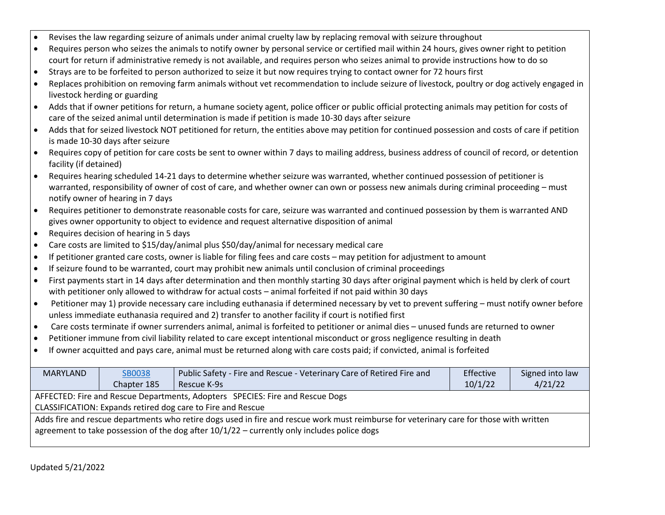|  | Revises the law regarding seizure of animals under animal cruelty law by replacing removal with seizure throughout |  |  |  |
|--|--------------------------------------------------------------------------------------------------------------------|--|--|--|
|--|--------------------------------------------------------------------------------------------------------------------|--|--|--|

- Requires person who seizes the animals to notify owner by personal service or certified mail within 24 hours, gives owner right to petition court for return if administrative remedy is not available, and requires person who seizes animal to provide instructions how to do so
- Strays are to be forfeited to person authorized to seize it but now requires trying to contact owner for 72 hours first
- Replaces prohibition on removing farm animals without vet recommendation to include seizure of livestock, poultry or dog actively engaged in livestock herding or guarding
- Adds that if owner petitions for return, a humane society agent, police officer or public official protecting animals may petition for costs of care of the seized animal until determination is made if petition is made 10-30 days after seizure
- Adds that for seized livestock NOT petitioned for return, the entities above may petition for continued possession and costs of care if petition is made 10-30 days after seizure
- Requires copy of petition for care costs be sent to owner within 7 days to mailing address, business address of council of record, or detention facility (if detained)
- Requires hearing scheduled 14-21 days to determine whether seizure was warranted, whether continued possession of petitioner is warranted, responsibility of owner of cost of care, and whether owner can own or possess new animals during criminal proceeding – must notify owner of hearing in 7 days
- Requires petitioner to demonstrate reasonable costs for care, seizure was warranted and continued possession by them is warranted AND gives owner opportunity to object to evidence and request alternative disposition of animal
- Requires decision of hearing in 5 days
- Care costs are limited to \$15/day/animal plus \$50/day/animal for necessary medical care
- If petitioner granted care costs, owner is liable for filing fees and care costs may petition for adjustment to amount
- If seizure found to be warranted, court may prohibit new animals until conclusion of criminal proceedings
- First payments start in 14 days after determination and then monthly starting 30 days after original payment which is held by clerk of court with petitioner only allowed to withdraw for actual costs – animal forfeited if not paid within 30 days
- Petitioner may 1) provide necessary care including euthanasia if determined necessary by vet to prevent suffering must notify owner before unless immediate euthanasia required and 2) transfer to another facility if court is notified first
- Care costs terminate if owner surrenders animal, animal is forfeited to petitioner or animal dies unused funds are returned to owner
- Petitioner immune from civil liability related to care except intentional misconduct or gross negligence resulting in death
- If owner acquitted and pays care, animal must be returned along with care costs paid; if convicted, animal is forfeited

| MARYLAND                                                                                                                                                                                                                                 | <b>SB0038</b>                                                                 | Public Safety - Fire and Rescue - Veterinary Care of Retired Fire and | Effective | Signed into law |  |  |
|------------------------------------------------------------------------------------------------------------------------------------------------------------------------------------------------------------------------------------------|-------------------------------------------------------------------------------|-----------------------------------------------------------------------|-----------|-----------------|--|--|
|                                                                                                                                                                                                                                          | Chapter 185                                                                   | Rescue K-9s                                                           | 10/1/22   | 4/21/22         |  |  |
|                                                                                                                                                                                                                                          | AFFECTED: Fire and Rescue Departments, Adopters SPECIES: Fire and Rescue Dogs |                                                                       |           |                 |  |  |
|                                                                                                                                                                                                                                          |                                                                               | CLASSIFICATION: Expands retired dog care to Fire and Rescue           |           |                 |  |  |
| Adds fire and rescue departments who retire dogs used in fire and rescue work must reimburse for veterinary care for those with written<br>agreement to take possession of the dog after $10/1/22$ – currently only includes police dogs |                                                                               |                                                                       |           |                 |  |  |
|                                                                                                                                                                                                                                          |                                                                               |                                                                       |           |                 |  |  |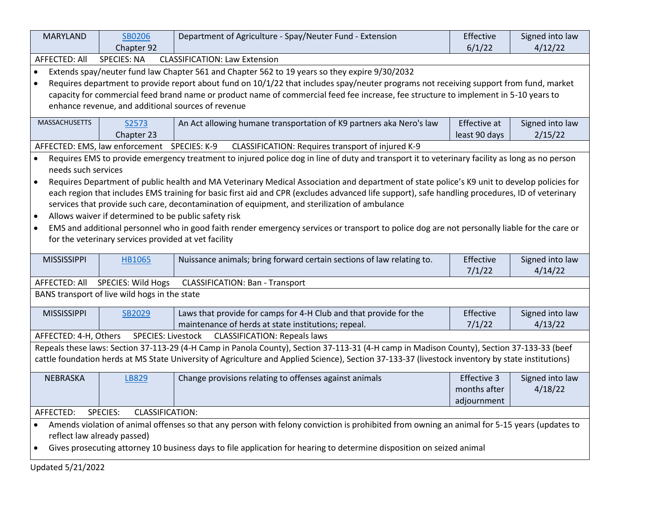| <b>MARYLAND</b>                                                                                                                                   | SB0206                                                                                                          | Department of Agriculture - Spay/Neuter Fund - Extension                                                                                        | Effective     | Signed into law |  |  |
|---------------------------------------------------------------------------------------------------------------------------------------------------|-----------------------------------------------------------------------------------------------------------------|-------------------------------------------------------------------------------------------------------------------------------------------------|---------------|-----------------|--|--|
|                                                                                                                                                   | Chapter 92                                                                                                      |                                                                                                                                                 | 6/1/22        | 4/12/22         |  |  |
| AFFECTED: All                                                                                                                                     | <b>SPECIES: NA</b>                                                                                              | <b>CLASSIFICATION: Law Extension</b>                                                                                                            |               |                 |  |  |
| $\bullet$                                                                                                                                         |                                                                                                                 | Extends spay/neuter fund law Chapter 561 and Chapter 562 to 19 years so they expire 9/30/2032                                                   |               |                 |  |  |
| Requires department to provide report about fund on 10/1/22 that includes spay/neuter programs not receiving support from fund, market            |                                                                                                                 |                                                                                                                                                 |               |                 |  |  |
|                                                                                                                                                   |                                                                                                                 | capacity for commercial feed brand name or product name of commercial feed fee increase, fee structure to implement in 5-10 years to            |               |                 |  |  |
|                                                                                                                                                   | enhance revenue, and additional sources of revenue                                                              |                                                                                                                                                 |               |                 |  |  |
| <b>MASSACHUSETTS</b>                                                                                                                              | An Act allowing humane transportation of K9 partners aka Nero's law<br>Effective at<br>Signed into law<br>S2573 |                                                                                                                                                 |               |                 |  |  |
|                                                                                                                                                   | Chapter 23                                                                                                      |                                                                                                                                                 | least 90 days | 2/15/22         |  |  |
|                                                                                                                                                   | AFFECTED: EMS, law enforcement SPECIES: K-9                                                                     | CLASSIFICATION: Requires transport of injured K-9                                                                                               |               |                 |  |  |
| $\bullet$                                                                                                                                         |                                                                                                                 | Requires EMS to provide emergency treatment to injured police dog in line of duty and transport it to veterinary facility as long as no person  |               |                 |  |  |
| needs such services                                                                                                                               |                                                                                                                 |                                                                                                                                                 |               |                 |  |  |
|                                                                                                                                                   |                                                                                                                 | Requires Department of public health and MA Veterinary Medical Association and department of state police's K9 unit to develop policies for     |               |                 |  |  |
|                                                                                                                                                   |                                                                                                                 | each region that includes EMS training for basic first aid and CPR (excludes advanced life support), safe handling procedures, ID of veterinary |               |                 |  |  |
|                                                                                                                                                   |                                                                                                                 | services that provide such care, decontamination of equipment, and sterilization of ambulance                                                   |               |                 |  |  |
|                                                                                                                                                   | Allows waiver if determined to be public safety risk                                                            |                                                                                                                                                 |               |                 |  |  |
| $\bullet$                                                                                                                                         |                                                                                                                 | EMS and additional personnel who in good faith render emergency services or transport to police dog are not personally liable for the care or   |               |                 |  |  |
|                                                                                                                                                   | for the veterinary services provided at vet facility                                                            |                                                                                                                                                 |               |                 |  |  |
|                                                                                                                                                   |                                                                                                                 |                                                                                                                                                 |               |                 |  |  |
| <b>MISSISSIPPI</b>                                                                                                                                | <b>HB1065</b>                                                                                                   | Nuissance animals; bring forward certain sections of law relating to.                                                                           | Effective     | Signed into law |  |  |
|                                                                                                                                                   |                                                                                                                 |                                                                                                                                                 | 7/1/22        | 4/14/22         |  |  |
| AFFECTED: All                                                                                                                                     | SPECIES: Wild Hogs                                                                                              | <b>CLASSIFICATION: Ban - Transport</b>                                                                                                          |               |                 |  |  |
|                                                                                                                                                   | BANS transport of live wild hogs in the state                                                                   |                                                                                                                                                 |               |                 |  |  |
| <b>MISSISSIPPI</b>                                                                                                                                | SB2029                                                                                                          | Laws that provide for camps for 4-H Club and that provide for the                                                                               | Effective     | Signed into law |  |  |
|                                                                                                                                                   |                                                                                                                 | maintenance of herds at state institutions; repeal.                                                                                             | 7/1/22        | 4/13/22         |  |  |
| AFFECTED: 4-H, Others                                                                                                                             | SPECIES: Livestock                                                                                              | <b>CLASSIFICATION: Repeals laws</b>                                                                                                             |               |                 |  |  |
|                                                                                                                                                   |                                                                                                                 | Repeals these laws: Section 37-113-29 (4-H Camp in Panola County), Section 37-113-31 (4-H camp in Madison County), Section 37-133-33 (beef      |               |                 |  |  |
| cattle foundation herds at MS State University of Agriculture and Applied Science), Section 37-133-37 (livestock inventory by state institutions) |                                                                                                                 |                                                                                                                                                 |               |                 |  |  |
| <b>NEBRASKA</b>                                                                                                                                   | LB829                                                                                                           | Change provisions relating to offenses against animals                                                                                          | Effective 3   | Signed into law |  |  |
|                                                                                                                                                   |                                                                                                                 |                                                                                                                                                 | months after  | 4/18/22         |  |  |
|                                                                                                                                                   |                                                                                                                 |                                                                                                                                                 | adjournment   |                 |  |  |
| AFFECTED:<br><b>SPECIES:</b><br><b>CLASSIFICATION:</b>                                                                                            |                                                                                                                 |                                                                                                                                                 |               |                 |  |  |
| Amends violation of animal offenses so that any person with felony conviction is prohibited from owning an animal for 5-15 years (updates to      |                                                                                                                 |                                                                                                                                                 |               |                 |  |  |
| reflect law already passed)                                                                                                                       |                                                                                                                 |                                                                                                                                                 |               |                 |  |  |
| Gives prosecuting attorney 10 business days to file application for hearing to determine disposition on seized animal<br>$\bullet$                |                                                                                                                 |                                                                                                                                                 |               |                 |  |  |
|                                                                                                                                                   | Updated 5/21/2022                                                                                               |                                                                                                                                                 |               |                 |  |  |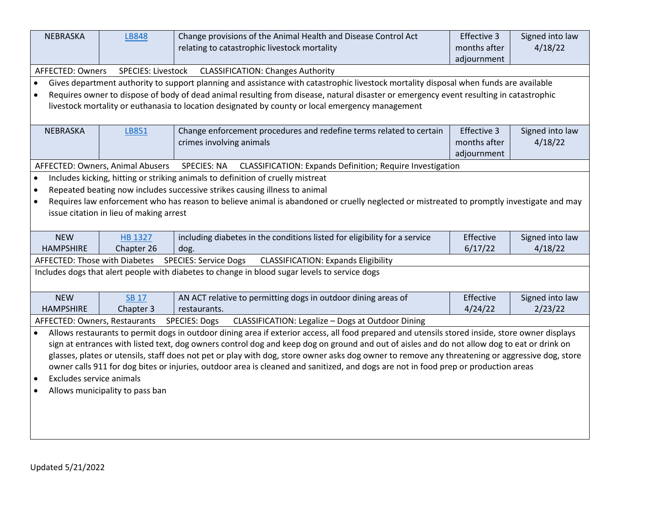| NEBRASKA                                                                                                                                        | <b>LB848</b>                            | Change provisions of the Animal Health and Disease Control Act                                                                                  | Effective 3  | Signed into law |  |
|-------------------------------------------------------------------------------------------------------------------------------------------------|-----------------------------------------|-------------------------------------------------------------------------------------------------------------------------------------------------|--------------|-----------------|--|
|                                                                                                                                                 |                                         | relating to catastrophic livestock mortality                                                                                                    | months after | 4/18/22         |  |
|                                                                                                                                                 |                                         |                                                                                                                                                 | adjournment  |                 |  |
| AFFECTED: Owners                                                                                                                                | SPECIES: Livestock                      | <b>CLASSIFICATION: Changes Authority</b>                                                                                                        |              |                 |  |
| $\bullet$                                                                                                                                       |                                         | Gives department authority to support planning and assistance with catastrophic livestock mortality disposal when funds are available           |              |                 |  |
| $\bullet$                                                                                                                                       |                                         | Requires owner to dispose of body of dead animal resulting from disease, natural disaster or emergency event resulting in catastrophic          |              |                 |  |
|                                                                                                                                                 |                                         | livestock mortality or euthanasia to location designated by county or local emergency management                                                |              |                 |  |
|                                                                                                                                                 |                                         |                                                                                                                                                 |              |                 |  |
| NEBRASKA                                                                                                                                        | <b>LB851</b>                            | Change enforcement procedures and redefine terms related to certain                                                                             | Effective 3  | Signed into law |  |
|                                                                                                                                                 |                                         | crimes involving animals                                                                                                                        | months after | 4/18/22         |  |
|                                                                                                                                                 |                                         |                                                                                                                                                 | adjournment  |                 |  |
|                                                                                                                                                 | AFFECTED: Owners, Animal Abusers        | CLASSIFICATION: Expands Definition; Require Investigation<br><b>SPECIES: NA</b>                                                                 |              |                 |  |
|                                                                                                                                                 |                                         | Includes kicking, hitting or striking animals to definition of cruelly mistreat                                                                 |              |                 |  |
| $\bullet$                                                                                                                                       |                                         | Repeated beating now includes successive strikes causing illness to animal                                                                      |              |                 |  |
| $\bullet$                                                                                                                                       |                                         | Requires law enforcement who has reason to believe animal is abandoned or cruelly neglected or mistreated to promptly investigate and may       |              |                 |  |
|                                                                                                                                                 | issue citation in lieu of making arrest |                                                                                                                                                 |              |                 |  |
|                                                                                                                                                 |                                         |                                                                                                                                                 |              |                 |  |
| <b>NEW</b>                                                                                                                                      | HB 1327                                 | including diabetes in the conditions listed for eligibility for a service                                                                       | Effective    | Signed into law |  |
| <b>HAMPSHIRE</b>                                                                                                                                | Chapter 26                              | dog.                                                                                                                                            | 6/17/22      | 4/18/22         |  |
| AFFECTED: Those with Diabetes                                                                                                                   |                                         | <b>SPECIES: Service Dogs</b><br><b>CLASSIFICATION: Expands Eligibility</b>                                                                      |              |                 |  |
|                                                                                                                                                 |                                         | Includes dogs that alert people with diabetes to change in blood sugar levels to service dogs                                                   |              |                 |  |
|                                                                                                                                                 |                                         |                                                                                                                                                 |              |                 |  |
| <b>NEW</b>                                                                                                                                      | <b>SB 17</b>                            | AN ACT relative to permitting dogs in outdoor dining areas of                                                                                   | Effective    | Signed into law |  |
| <b>HAMPSHIRE</b>                                                                                                                                | Chapter 3                               | restaurants.                                                                                                                                    | 4/24/22      | 2/23/22         |  |
| AFFECTED: Owners, Restaurants                                                                                                                   |                                         | <b>SPECIES: Dogs</b><br>CLASSIFICATION: Legalize - Dogs at Outdoor Dining                                                                       |              |                 |  |
|                                                                                                                                                 |                                         | Allows restaurants to permit dogs in outdoor dining area if exterior access, all food prepared and utensils stored inside, store owner displays |              |                 |  |
| sign at entrances with listed text, dog owners control dog and keep dog on ground and out of aisles and do not allow dog to eat or drink on     |                                         |                                                                                                                                                 |              |                 |  |
| glasses, plates or utensils, staff does not pet or play with dog, store owner asks dog owner to remove any threatening or aggressive dog, store |                                         |                                                                                                                                                 |              |                 |  |
| owner calls 911 for dog bites or injuries, outdoor area is cleaned and sanitized, and dogs are not in food prep or production areas             |                                         |                                                                                                                                                 |              |                 |  |
| Excludes service animals<br>$\bullet$                                                                                                           |                                         |                                                                                                                                                 |              |                 |  |
| Allows municipality to pass ban<br>$\bullet$                                                                                                    |                                         |                                                                                                                                                 |              |                 |  |
|                                                                                                                                                 |                                         |                                                                                                                                                 |              |                 |  |
|                                                                                                                                                 |                                         |                                                                                                                                                 |              |                 |  |
|                                                                                                                                                 |                                         |                                                                                                                                                 |              |                 |  |
|                                                                                                                                                 |                                         |                                                                                                                                                 |              |                 |  |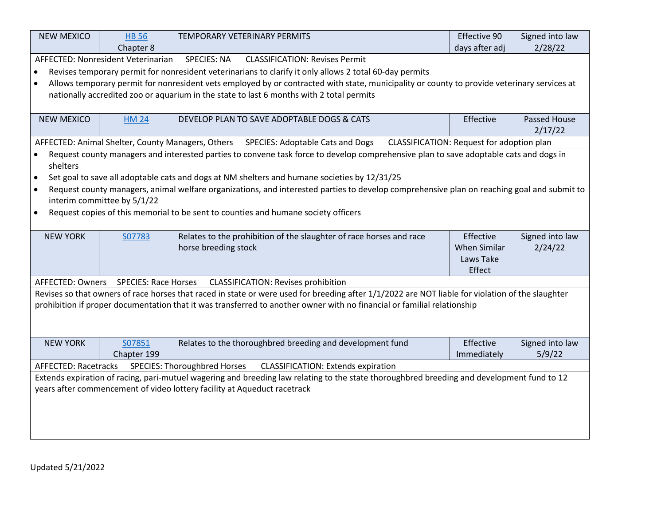| <b>NEW MEXICO</b>                                                                                                                          | <b>HB 56</b>                                                                                                    | TEMPORARY VETERINARY PERMITS                                                                                                                     | Effective 90        | Signed into law |  |  |
|--------------------------------------------------------------------------------------------------------------------------------------------|-----------------------------------------------------------------------------------------------------------------|--------------------------------------------------------------------------------------------------------------------------------------------------|---------------------|-----------------|--|--|
|                                                                                                                                            | Chapter 8                                                                                                       |                                                                                                                                                  | days after adj      | 2/28/22         |  |  |
|                                                                                                                                            | AFFECTED: Nonresident Veterinarian                                                                              | <b>SPECIES: NA</b><br><b>CLASSIFICATION: Revises Permit</b>                                                                                      |                     |                 |  |  |
| $\bullet$                                                                                                                                  |                                                                                                                 | Revises temporary permit for nonresident veterinarians to clarify it only allows 2 total 60-day permits                                          |                     |                 |  |  |
| $\bullet$                                                                                                                                  |                                                                                                                 | Allows temporary permit for nonresident vets employed by or contracted with state, municipality or county to provide veterinary services at      |                     |                 |  |  |
|                                                                                                                                            |                                                                                                                 | nationally accredited zoo or aquarium in the state to last 6 months with 2 total permits                                                         |                     |                 |  |  |
|                                                                                                                                            |                                                                                                                 |                                                                                                                                                  |                     |                 |  |  |
| <b>NEW MEXICO</b>                                                                                                                          | <b>HM 24</b>                                                                                                    | DEVELOP PLAN TO SAVE ADOPTABLE DOGS & CATS                                                                                                       | Effective           | Passed House    |  |  |
|                                                                                                                                            |                                                                                                                 |                                                                                                                                                  |                     | 2/17/22         |  |  |
|                                                                                                                                            | AFFECTED: Animal Shelter, County Managers, Others                                                               | SPECIES: Adoptable Cats and Dogs<br>CLASSIFICATION: Request for adoption plan                                                                    |                     |                 |  |  |
|                                                                                                                                            |                                                                                                                 | Request county managers and interested parties to convene task force to develop comprehensive plan to save adoptable cats and dogs in            |                     |                 |  |  |
| shelters                                                                                                                                   |                                                                                                                 |                                                                                                                                                  |                     |                 |  |  |
| $\bullet$                                                                                                                                  |                                                                                                                 | Set goal to save all adoptable cats and dogs at NM shelters and humane societies by 12/31/25                                                     |                     |                 |  |  |
| $\bullet$                                                                                                                                  |                                                                                                                 | Request county managers, animal welfare organizations, and interested parties to develop comprehensive plan on reaching goal and submit to       |                     |                 |  |  |
|                                                                                                                                            | interim committee by 5/1/22                                                                                     |                                                                                                                                                  |                     |                 |  |  |
| $\bullet$                                                                                                                                  |                                                                                                                 | Request copies of this memorial to be sent to counties and humane society officers                                                               |                     |                 |  |  |
|                                                                                                                                            |                                                                                                                 |                                                                                                                                                  |                     |                 |  |  |
| <b>NEW YORK</b>                                                                                                                            | S07783                                                                                                          | Relates to the prohibition of the slaughter of race horses and race                                                                              | Effective           | Signed into law |  |  |
|                                                                                                                                            |                                                                                                                 | horse breeding stock                                                                                                                             | <b>When Similar</b> | 2/24/22         |  |  |
|                                                                                                                                            |                                                                                                                 |                                                                                                                                                  | Laws Take           |                 |  |  |
|                                                                                                                                            |                                                                                                                 |                                                                                                                                                  | Effect              |                 |  |  |
| AFFECTED: Owners                                                                                                                           | <b>SPECIES: Race Horses</b>                                                                                     | <b>CLASSIFICATION: Revises prohibition</b>                                                                                                       |                     |                 |  |  |
|                                                                                                                                            |                                                                                                                 | Revises so that owners of race horses that raced in state or were used for breeding after 1/1/2022 are NOT liable for violation of the slaughter |                     |                 |  |  |
|                                                                                                                                            |                                                                                                                 | prohibition if proper documentation that it was transferred to another owner with no financial or familial relationship                          |                     |                 |  |  |
|                                                                                                                                            |                                                                                                                 |                                                                                                                                                  |                     |                 |  |  |
|                                                                                                                                            |                                                                                                                 |                                                                                                                                                  |                     |                 |  |  |
| <b>NEW YORK</b>                                                                                                                            | S07851                                                                                                          | Relates to the thoroughbred breeding and development fund                                                                                        | Effective           | Signed into law |  |  |
|                                                                                                                                            | Chapter 199                                                                                                     |                                                                                                                                                  | Immediately         | 5/9/22          |  |  |
|                                                                                                                                            | <b>SPECIES: Thoroughbred Horses</b><br><b>CLASSIFICATION: Extends expiration</b><br><b>AFFECTED: Racetracks</b> |                                                                                                                                                  |                     |                 |  |  |
| Extends expiration of racing, pari-mutuel wagering and breeding law relating to the state thoroughbred breeding and development fund to 12 |                                                                                                                 |                                                                                                                                                  |                     |                 |  |  |
| years after commencement of video lottery facility at Aqueduct racetrack                                                                   |                                                                                                                 |                                                                                                                                                  |                     |                 |  |  |
|                                                                                                                                            |                                                                                                                 |                                                                                                                                                  |                     |                 |  |  |
|                                                                                                                                            |                                                                                                                 |                                                                                                                                                  |                     |                 |  |  |
|                                                                                                                                            |                                                                                                                 |                                                                                                                                                  |                     |                 |  |  |
|                                                                                                                                            |                                                                                                                 |                                                                                                                                                  |                     |                 |  |  |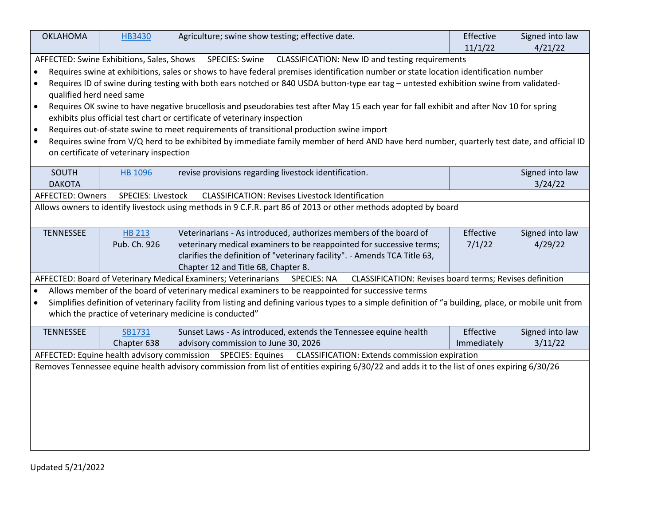| <b>OKLAHOMA</b>                                                                                                                                   | HB3430                                    | Agriculture; swine show testing; effective date.                                                                                                       | Effective   | Signed into law            |  |  |  |
|---------------------------------------------------------------------------------------------------------------------------------------------------|-------------------------------------------|--------------------------------------------------------------------------------------------------------------------------------------------------------|-------------|----------------------------|--|--|--|
|                                                                                                                                                   |                                           |                                                                                                                                                        | 11/1/22     | 4/21/22                    |  |  |  |
|                                                                                                                                                   | AFFECTED: Swine Exhibitions, Sales, Shows | <b>SPECIES: Swine</b><br>CLASSIFICATION: New ID and testing requirements                                                                               |             |                            |  |  |  |
| Requires swine at exhibitions, sales or shows to have federal premises identification number or state location identification number<br>$\bullet$ |                                           |                                                                                                                                                        |             |                            |  |  |  |
| $\bullet$                                                                                                                                         |                                           | Requires ID of swine during testing with both ears notched or 840 USDA button-type ear tag - untested exhibition swine from validated-                 |             |                            |  |  |  |
| qualified herd need same                                                                                                                          |                                           |                                                                                                                                                        |             |                            |  |  |  |
| $\bullet$                                                                                                                                         |                                           | Requires OK swine to have negative brucellosis and pseudorabies test after May 15 each year for fall exhibit and after Nov 10 for spring               |             |                            |  |  |  |
|                                                                                                                                                   |                                           | exhibits plus official test chart or certificate of veterinary inspection                                                                              |             |                            |  |  |  |
| $\bullet$                                                                                                                                         |                                           | Requires out-of-state swine to meet requirements of transitional production swine import                                                               |             |                            |  |  |  |
| $\bullet$                                                                                                                                         |                                           | Requires swine from V/Q herd to be exhibited by immediate family member of herd AND have herd number, quarterly test date, and official ID             |             |                            |  |  |  |
|                                                                                                                                                   | on certificate of veterinary inspection   |                                                                                                                                                        |             |                            |  |  |  |
| SOUTH                                                                                                                                             |                                           | revise provisions regarding livestock identification.                                                                                                  |             | Signed into law            |  |  |  |
| <b>DAKOTA</b>                                                                                                                                     | <b>HB 1096</b>                            |                                                                                                                                                        |             | 3/24/22                    |  |  |  |
| AFFECTED: Owners                                                                                                                                  | <b>SPECIES: Livestock</b>                 | <b>CLASSIFICATION: Revises Livestock Identification</b>                                                                                                |             |                            |  |  |  |
|                                                                                                                                                   |                                           | Allows owners to identify livestock using methods in 9 C.F.R. part 86 of 2013 or other methods adopted by board                                        |             |                            |  |  |  |
|                                                                                                                                                   |                                           |                                                                                                                                                        |             |                            |  |  |  |
|                                                                                                                                                   |                                           |                                                                                                                                                        | Effective   |                            |  |  |  |
| <b>TENNESSEE</b>                                                                                                                                  | <b>HB 213</b><br>Pub. Ch. 926             | Veterinarians - As introduced, authorizes members of the board of<br>veterinary medical examiners to be reappointed for successive terms;              | 7/1/22      | Signed into law<br>4/29/22 |  |  |  |
|                                                                                                                                                   |                                           | clarifies the definition of "veterinary facility". - Amends TCA Title 63,                                                                              |             |                            |  |  |  |
|                                                                                                                                                   |                                           | Chapter 12 and Title 68, Chapter 8.                                                                                                                    |             |                            |  |  |  |
|                                                                                                                                                   |                                           | AFFECTED: Board of Veterinary Medical Examiners; Veterinarians<br>CLASSIFICATION: Revises board terms; Revises definition<br><b>SPECIES: NA</b>        |             |                            |  |  |  |
| $\bullet$                                                                                                                                         |                                           | Allows member of the board of veterinary medical examiners to be reappointed for successive terms                                                      |             |                            |  |  |  |
| $\bullet$                                                                                                                                         |                                           | Simplifies definition of veterinary facility from listing and defining various types to a simple definition of "a building, place, or mobile unit from |             |                            |  |  |  |
|                                                                                                                                                   |                                           | which the practice of veterinary medicine is conducted"                                                                                                |             |                            |  |  |  |
|                                                                                                                                                   |                                           |                                                                                                                                                        |             |                            |  |  |  |
| <b>TENNESSEE</b>                                                                                                                                  | SB1731                                    | Sunset Laws - As introduced, extends the Tennessee equine health                                                                                       | Effective   | Signed into law            |  |  |  |
|                                                                                                                                                   | Chapter 638                               | advisory commission to June 30, 2026                                                                                                                   | Immediately | 3/11/22                    |  |  |  |
| AFFECTED: Equine health advisory commission SPECIES: Equines<br>CLASSIFICATION: Extends commission expiration                                     |                                           |                                                                                                                                                        |             |                            |  |  |  |
| Removes Tennessee equine health advisory commission from list of entities expiring 6/30/22 and adds it to the list of ones expiring 6/30/26       |                                           |                                                                                                                                                        |             |                            |  |  |  |
|                                                                                                                                                   |                                           |                                                                                                                                                        |             |                            |  |  |  |
|                                                                                                                                                   |                                           |                                                                                                                                                        |             |                            |  |  |  |
|                                                                                                                                                   |                                           |                                                                                                                                                        |             |                            |  |  |  |
|                                                                                                                                                   |                                           |                                                                                                                                                        |             |                            |  |  |  |
|                                                                                                                                                   |                                           |                                                                                                                                                        |             |                            |  |  |  |
|                                                                                                                                                   |                                           |                                                                                                                                                        |             |                            |  |  |  |
|                                                                                                                                                   |                                           |                                                                                                                                                        |             |                            |  |  |  |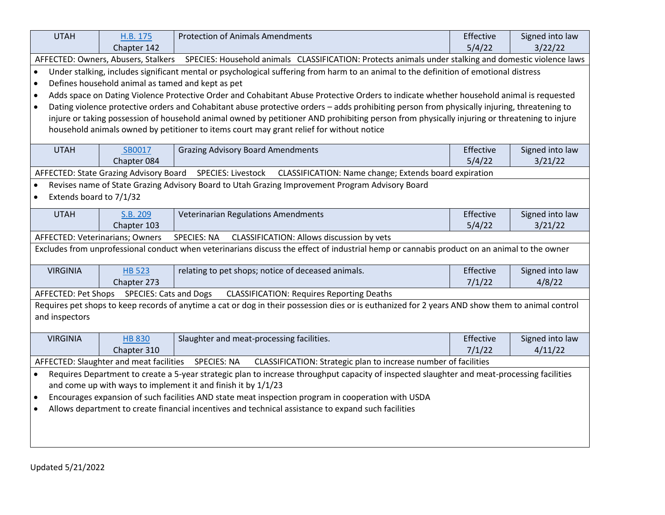| <b>UTAH</b>                                                                                                                                              | H.B. 175                                                                                                                              | <b>Protection of Animals Amendments</b>                                                                                                          | Effective           | Signed into law |  |  |
|----------------------------------------------------------------------------------------------------------------------------------------------------------|---------------------------------------------------------------------------------------------------------------------------------------|--------------------------------------------------------------------------------------------------------------------------------------------------|---------------------|-----------------|--|--|
|                                                                                                                                                          | Chapter 142                                                                                                                           |                                                                                                                                                  | 5/4/22              | 3/22/22         |  |  |
|                                                                                                                                                          |                                                                                                                                       | AFFECTED: Owners, Abusers, Stalkers SPECIES: Household animals CLASSIFICATION: Protects animals under stalking and domestic violence laws        |                     |                 |  |  |
| $\bullet$                                                                                                                                                | Under stalking, includes significant mental or psychological suffering from harm to an animal to the definition of emotional distress |                                                                                                                                                  |                     |                 |  |  |
| $\bullet$                                                                                                                                                | Defines household animal as tamed and kept as pet                                                                                     |                                                                                                                                                  |                     |                 |  |  |
| $\bullet$                                                                                                                                                |                                                                                                                                       | Adds space on Dating Violence Protective Order and Cohabitant Abuse Protective Orders to indicate whether household animal is requested          |                     |                 |  |  |
| $\bullet$                                                                                                                                                |                                                                                                                                       | Dating violence protective orders and Cohabitant abuse protective orders - adds prohibiting person from physically injuring, threatening to      |                     |                 |  |  |
|                                                                                                                                                          |                                                                                                                                       | injure or taking possession of household animal owned by petitioner AND prohibiting person from physically injuring or threatening to injure     |                     |                 |  |  |
|                                                                                                                                                          |                                                                                                                                       | household animals owned by petitioner to items court may grant relief for without notice                                                         |                     |                 |  |  |
|                                                                                                                                                          |                                                                                                                                       |                                                                                                                                                  |                     |                 |  |  |
| <b>UTAH</b>                                                                                                                                              | SB0017                                                                                                                                | <b>Grazing Advisory Board Amendments</b>                                                                                                         | Effective<br>5/4/22 | Signed into law |  |  |
|                                                                                                                                                          | Chapter 084<br>AFFECTED: State Grazing Advisory Board                                                                                 |                                                                                                                                                  |                     | 3/21/22         |  |  |
|                                                                                                                                                          |                                                                                                                                       | SPECIES: Livestock<br>CLASSIFICATION: Name change; Extends board expiration                                                                      |                     |                 |  |  |
|                                                                                                                                                          |                                                                                                                                       | Revises name of State Grazing Advisory Board to Utah Grazing Improvement Program Advisory Board                                                  |                     |                 |  |  |
| Extends board to 7/1/32                                                                                                                                  |                                                                                                                                       |                                                                                                                                                  |                     |                 |  |  |
| <b>UTAH</b>                                                                                                                                              | S.B. 209                                                                                                                              | Veterinarian Regulations Amendments                                                                                                              | Effective           | Signed into law |  |  |
|                                                                                                                                                          | Chapter 103                                                                                                                           |                                                                                                                                                  | 5/4/22              | 3/21/22         |  |  |
| AFFECTED: Veterinarians; Owners                                                                                                                          |                                                                                                                                       | <b>SPECIES: NA</b><br>CLASSIFICATION: Allows discussion by vets                                                                                  |                     |                 |  |  |
|                                                                                                                                                          |                                                                                                                                       | Excludes from unprofessional conduct when veterinarians discuss the effect of industrial hemp or cannabis product on an animal to the owner      |                     |                 |  |  |
| <b>VIRGINIA</b>                                                                                                                                          | <b>HB 523</b>                                                                                                                         | relating to pet shops; notice of deceased animals.                                                                                               | Effective           | Signed into law |  |  |
|                                                                                                                                                          | Chapter 273                                                                                                                           |                                                                                                                                                  | 7/1/22              | 4/8/22          |  |  |
| AFFECTED: Pet Shops                                                                                                                                      | <b>SPECIES: Cats and Dogs</b>                                                                                                         | <b>CLASSIFICATION: Requires Reporting Deaths</b>                                                                                                 |                     |                 |  |  |
|                                                                                                                                                          |                                                                                                                                       | Requires pet shops to keep records of anytime a cat or dog in their possession dies or is euthanized for 2 years AND show them to animal control |                     |                 |  |  |
| and inspectors                                                                                                                                           |                                                                                                                                       |                                                                                                                                                  |                     |                 |  |  |
|                                                                                                                                                          |                                                                                                                                       |                                                                                                                                                  |                     |                 |  |  |
| <b>VIRGINIA</b>                                                                                                                                          | <b>HB 830</b>                                                                                                                         | Slaughter and meat-processing facilities.                                                                                                        | Effective           | Signed into law |  |  |
|                                                                                                                                                          | Chapter 310                                                                                                                           |                                                                                                                                                  | 7/1/22              | 4/11/22         |  |  |
|                                                                                                                                                          | CLASSIFICATION: Strategic plan to increase number of facilities<br>AFFECTED: Slaughter and meat facilities SPECIES: NA                |                                                                                                                                                  |                     |                 |  |  |
| Requires Department to create a 5-year strategic plan to increase throughput capacity of inspected slaughter and meat-processing facilities<br>$\bullet$ |                                                                                                                                       |                                                                                                                                                  |                     |                 |  |  |
|                                                                                                                                                          | and come up with ways to implement it and finish it by 1/1/23                                                                         |                                                                                                                                                  |                     |                 |  |  |
| Encourages expansion of such facilities AND state meat inspection program in cooperation with USDA<br>$\bullet$                                          |                                                                                                                                       |                                                                                                                                                  |                     |                 |  |  |
| Allows department to create financial incentives and technical assistance to expand such facilities                                                      |                                                                                                                                       |                                                                                                                                                  |                     |                 |  |  |
|                                                                                                                                                          |                                                                                                                                       |                                                                                                                                                  |                     |                 |  |  |
|                                                                                                                                                          |                                                                                                                                       |                                                                                                                                                  |                     |                 |  |  |
|                                                                                                                                                          |                                                                                                                                       |                                                                                                                                                  |                     |                 |  |  |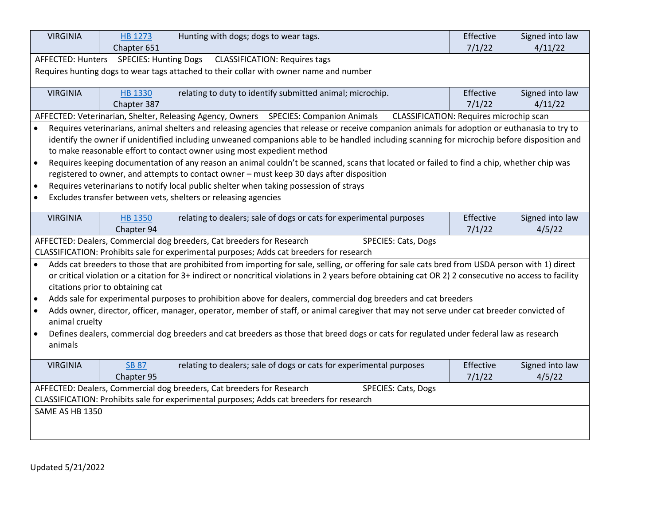| <b>VIRGINIA</b>                                                                                                                                     | HB 1273                          | Hunting with dogs; dogs to wear tags.                                                                                                                   | Effective                               | Signed into law |  |
|-----------------------------------------------------------------------------------------------------------------------------------------------------|----------------------------------|---------------------------------------------------------------------------------------------------------------------------------------------------------|-----------------------------------------|-----------------|--|
|                                                                                                                                                     | Chapter 651                      |                                                                                                                                                         | 7/1/22                                  | 4/11/22         |  |
| AFFECTED: Hunters                                                                                                                                   | <b>SPECIES: Hunting Dogs</b>     | <b>CLASSIFICATION: Requires tags</b>                                                                                                                    |                                         |                 |  |
| Requires hunting dogs to wear tags attached to their collar with owner name and number                                                              |                                  |                                                                                                                                                         |                                         |                 |  |
| <b>VIRGINIA</b>                                                                                                                                     | <b>HB 1330</b>                   | relating to duty to identify submitted animal; microchip.                                                                                               | Effective                               | Signed into law |  |
|                                                                                                                                                     | Chapter 387                      |                                                                                                                                                         | 7/1/22                                  | 4/11/22         |  |
|                                                                                                                                                     |                                  | AFFECTED: Veterinarian, Shelter, Releasing Agency, Owners SPECIES: Companion Animals                                                                    | CLASSIFICATION: Requires microchip scan |                 |  |
| $\bullet$                                                                                                                                           |                                  | Requires veterinarians, animal shelters and releasing agencies that release or receive companion animals for adoption or euthanasia to try to           |                                         |                 |  |
|                                                                                                                                                     |                                  | identify the owner if unidentified including unweaned companions able to be handled including scanning for microchip before disposition and             |                                         |                 |  |
|                                                                                                                                                     |                                  | to make reasonable effort to contact owner using most expedient method                                                                                  |                                         |                 |  |
| $\bullet$                                                                                                                                           |                                  | Requires keeping documentation of any reason an animal couldn't be scanned, scans that located or failed to find a chip, whether chip was               |                                         |                 |  |
|                                                                                                                                                     |                                  | registered to owner, and attempts to contact owner - must keep 30 days after disposition                                                                |                                         |                 |  |
| $\bullet$                                                                                                                                           |                                  | Requires veterinarians to notify local public shelter when taking possession of strays                                                                  |                                         |                 |  |
| $\bullet$                                                                                                                                           |                                  | Excludes transfer between vets, shelters or releasing agencies                                                                                          |                                         |                 |  |
| <b>VIRGINIA</b>                                                                                                                                     | <b>HB 1350</b>                   | relating to dealers; sale of dogs or cats for experimental purposes                                                                                     | Effective                               | Signed into law |  |
|                                                                                                                                                     | Chapter 94                       |                                                                                                                                                         | 7/1/22                                  | 4/5/22          |  |
|                                                                                                                                                     |                                  | AFFECTED: Dealers, Commercial dog breeders, Cat breeders for Research<br>SPECIES: Cats, Dogs                                                            |                                         |                 |  |
|                                                                                                                                                     |                                  | CLASSIFICATION: Prohibits sale for experimental purposes; Adds cat breeders for research                                                                |                                         |                 |  |
|                                                                                                                                                     |                                  | Adds cat breeders to those that are prohibited from importing for sale, selling, or offering for sale cats bred from USDA person with 1) direct         |                                         |                 |  |
|                                                                                                                                                     |                                  | or critical violation or a citation for 3+ indirect or noncritical violations in 2 years before obtaining cat OR 2) 2 consecutive no access to facility |                                         |                 |  |
|                                                                                                                                                     | citations prior to obtaining cat |                                                                                                                                                         |                                         |                 |  |
| $\bullet$                                                                                                                                           |                                  | Adds sale for experimental purposes to prohibition above for dealers, commercial dog breeders and cat breeders                                          |                                         |                 |  |
| $\bullet$                                                                                                                                           |                                  | Adds owner, director, officer, manager, operator, member of staff, or animal caregiver that may not serve under cat breeder convicted of                |                                         |                 |  |
| animal cruelty                                                                                                                                      |                                  |                                                                                                                                                         |                                         |                 |  |
| Defines dealers, commercial dog breeders and cat breeders as those that breed dogs or cats for regulated under federal law as research<br>$\bullet$ |                                  |                                                                                                                                                         |                                         |                 |  |
| animals                                                                                                                                             |                                  |                                                                                                                                                         |                                         |                 |  |
| <b>VIRGINIA</b>                                                                                                                                     | <b>SB 87</b>                     | relating to dealers; sale of dogs or cats for experimental purposes                                                                                     | Effective                               | Signed into law |  |
|                                                                                                                                                     | Chapter 95                       |                                                                                                                                                         | 7/1/22                                  | 4/5/22          |  |
|                                                                                                                                                     |                                  | AFFECTED: Dealers, Commercial dog breeders, Cat breeders for Research<br>SPECIES: Cats, Dogs                                                            |                                         |                 |  |
| CLASSIFICATION: Prohibits sale for experimental purposes; Adds cat breeders for research                                                            |                                  |                                                                                                                                                         |                                         |                 |  |
| SAME AS HB 1350                                                                                                                                     |                                  |                                                                                                                                                         |                                         |                 |  |
|                                                                                                                                                     |                                  |                                                                                                                                                         |                                         |                 |  |
|                                                                                                                                                     |                                  |                                                                                                                                                         |                                         |                 |  |
|                                                                                                                                                     |                                  |                                                                                                                                                         |                                         |                 |  |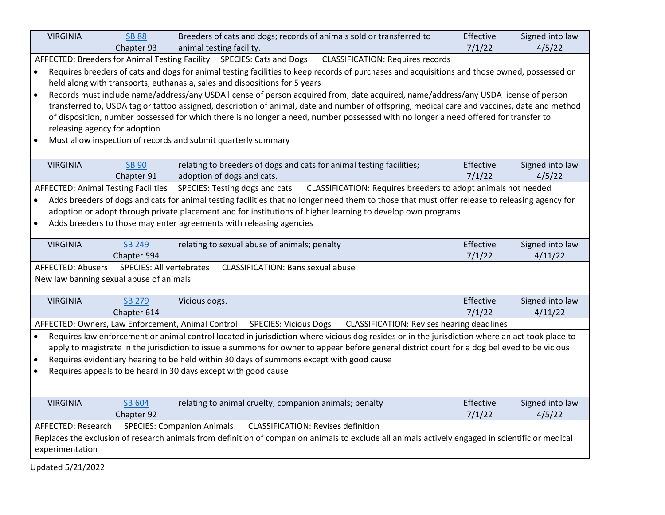| <b>VIRGINIA</b>                                                                                                                                                                       | <b>SB 88</b>                               | Breeders of cats and dogs; records of animals sold or transferred to                                                                           | Effective | Signed into law |  |
|---------------------------------------------------------------------------------------------------------------------------------------------------------------------------------------|--------------------------------------------|------------------------------------------------------------------------------------------------------------------------------------------------|-----------|-----------------|--|
|                                                                                                                                                                                       | Chapter 93                                 | animal testing facility.                                                                                                                       | 7/1/22    | 4/5/22          |  |
| AFFECTED: Breeders for Animal Testing Facility SPECIES: Cats and Dogs<br><b>CLASSIFICATION: Requires records</b>                                                                      |                                            |                                                                                                                                                |           |                 |  |
| $\bullet$                                                                                                                                                                             |                                            | Requires breeders of cats and dogs for animal testing facilities to keep records of purchases and acquisitions and those owned, possessed or   |           |                 |  |
|                                                                                                                                                                                       |                                            | held along with transports, euthanasia, sales and dispositions for 5 years                                                                     |           |                 |  |
| $\bullet$                                                                                                                                                                             |                                            | Records must include name/address/any USDA license of person acquired from, date acquired, name/address/any USDA license of person             |           |                 |  |
|                                                                                                                                                                                       |                                            | transferred to, USDA tag or tattoo assigned, description of animal, date and number of offspring, medical care and vaccines, date and method   |           |                 |  |
|                                                                                                                                                                                       |                                            | of disposition, number possessed for which there is no longer a need, number possessed with no longer a need offered for transfer to           |           |                 |  |
|                                                                                                                                                                                       | releasing agency for adoption              |                                                                                                                                                |           |                 |  |
|                                                                                                                                                                                       |                                            | Must allow inspection of records and submit quarterly summary                                                                                  |           |                 |  |
|                                                                                                                                                                                       |                                            |                                                                                                                                                |           |                 |  |
| <b>VIRGINIA</b>                                                                                                                                                                       | <b>SB 90</b>                               | relating to breeders of dogs and cats for animal testing facilities;                                                                           | Effective | Signed into law |  |
|                                                                                                                                                                                       | Chapter 91                                 | adoption of dogs and cats.                                                                                                                     | 7/1/22    | 4/5/22          |  |
|                                                                                                                                                                                       | <b>AFFECTED: Animal Testing Facilities</b> | SPECIES: Testing dogs and cats<br>CLASSIFICATION: Requires breeders to adopt animals not needed                                                |           |                 |  |
|                                                                                                                                                                                       |                                            | Adds breeders of dogs and cats for animal testing facilities that no longer need them to those that must offer release to releasing agency for |           |                 |  |
|                                                                                                                                                                                       |                                            | adoption or adopt through private placement and for institutions of higher learning to develop own programs                                    |           |                 |  |
| $\bullet$                                                                                                                                                                             |                                            | Adds breeders to those may enter agreements with releasing agencies                                                                            |           |                 |  |
|                                                                                                                                                                                       |                                            |                                                                                                                                                |           |                 |  |
| <b>VIRGINIA</b>                                                                                                                                                                       | <b>SB 249</b>                              | relating to sexual abuse of animals; penalty                                                                                                   | Effective | Signed into law |  |
|                                                                                                                                                                                       | Chapter 594                                |                                                                                                                                                | 7/1/22    | 4/11/22         |  |
| AFFECTED: Abusers                                                                                                                                                                     | SPECIES: All vertebrates                   | <b>CLASSIFICATION: Bans sexual abuse</b>                                                                                                       |           |                 |  |
|                                                                                                                                                                                       | New law banning sexual abuse of animals    |                                                                                                                                                |           |                 |  |
|                                                                                                                                                                                       |                                            |                                                                                                                                                |           |                 |  |
| <b>VIRGINIA</b>                                                                                                                                                                       | <b>SB 279</b>                              | Vicious dogs.                                                                                                                                  | Effective | Signed into law |  |
|                                                                                                                                                                                       | Chapter 614                                |                                                                                                                                                | 7/1/22    | 4/11/22         |  |
|                                                                                                                                                                                       |                                            | AFFECTED: Owners, Law Enforcement, Animal Control SPECIES: Vicious Dogs<br><b>CLASSIFICATION: Revises hearing deadlines</b>                    |           |                 |  |
|                                                                                                                                                                                       |                                            | Requires law enforcement or animal control located in jurisdiction where vicious dog resides or in the jurisdiction where an act took place to |           |                 |  |
| apply to magistrate in the jurisdiction to issue a summons for owner to appear before general district court for a dog believed to be vicious                                         |                                            |                                                                                                                                                |           |                 |  |
| Requires evidentiary hearing to be held within 30 days of summons except with good cause                                                                                              |                                            |                                                                                                                                                |           |                 |  |
| Requires appeals to be heard in 30 days except with good cause                                                                                                                        |                                            |                                                                                                                                                |           |                 |  |
|                                                                                                                                                                                       |                                            |                                                                                                                                                |           |                 |  |
| <b>VIRGINIA</b>                                                                                                                                                                       | <b>SB 604</b>                              | relating to animal cruelty; companion animals; penalty                                                                                         | Effective | Signed into law |  |
|                                                                                                                                                                                       | Chapter 92                                 |                                                                                                                                                | 7/1/22    | 4/5/22          |  |
| AFFECTED: Research                                                                                                                                                                    |                                            | <b>CLASSIFICATION: Revises definition</b>                                                                                                      |           |                 |  |
| <b>SPECIES: Companion Animals</b><br>Replaces the exclusion of research animals from definition of companion animals to exclude all animals actively engaged in scientific or medical |                                            |                                                                                                                                                |           |                 |  |
| experimentation                                                                                                                                                                       |                                            |                                                                                                                                                |           |                 |  |
|                                                                                                                                                                                       |                                            |                                                                                                                                                |           |                 |  |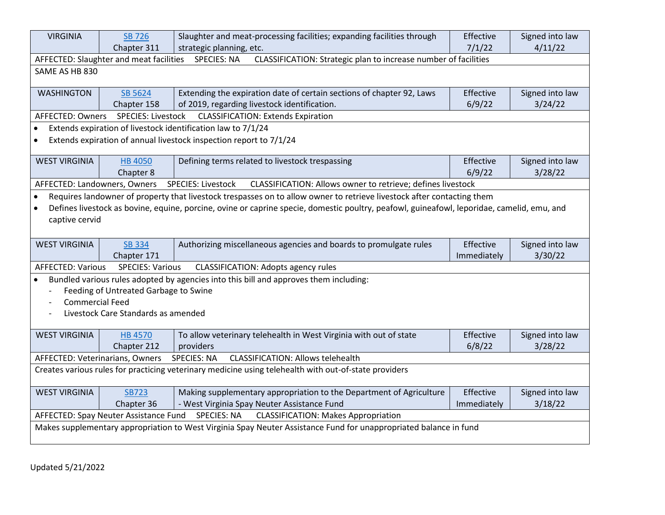| <b>VIRGINIA</b>                                                                                   | <b>SB 726</b>                                     | Slaughter and meat-processing facilities; expanding facilities through                                                                     | Effective   | Signed into law |  |  |
|---------------------------------------------------------------------------------------------------|---------------------------------------------------|--------------------------------------------------------------------------------------------------------------------------------------------|-------------|-----------------|--|--|
|                                                                                                   | Chapter 311                                       | strategic planning, etc.                                                                                                                   | 7/1/22      | 4/11/22         |  |  |
|                                                                                                   | AFFECTED: Slaughter and meat facilities           | <b>SPECIES: NA</b><br>CLASSIFICATION: Strategic plan to increase number of facilities                                                      |             |                 |  |  |
| SAME AS HB 830                                                                                    |                                                   |                                                                                                                                            |             |                 |  |  |
| <b>WASHINGTON</b>                                                                                 | SB 5624                                           | Extending the expiration date of certain sections of chapter 92, Laws                                                                      | Effective   | Signed into law |  |  |
|                                                                                                   | Chapter 158                                       | of 2019, regarding livestock identification.                                                                                               | 6/9/22      | 3/24/22         |  |  |
| AFFECTED: Owners                                                                                  | SPECIES: Livestock                                | <b>CLASSIFICATION: Extends Expiration</b>                                                                                                  |             |                 |  |  |
| $\bullet$                                                                                         |                                                   | Extends expiration of livestock identification law to 7/1/24                                                                               |             |                 |  |  |
|                                                                                                   |                                                   | Extends expiration of annual livestock inspection report to 7/1/24                                                                         |             |                 |  |  |
| <b>WEST VIRGINIA</b>                                                                              | <b>HB 4050</b>                                    | Defining terms related to livestock trespassing                                                                                            | Effective   | Signed into law |  |  |
|                                                                                                   | Chapter 8                                         |                                                                                                                                            | 6/9/22      | 3/28/22         |  |  |
| AFFECTED: Landowners, Owners                                                                      |                                                   | SPECIES: Livestock<br>CLASSIFICATION: Allows owner to retrieve; defines livestock                                                          |             |                 |  |  |
|                                                                                                   |                                                   | Requires landowner of property that livestock trespasses on to allow owner to retrieve livestock after contacting them                     |             |                 |  |  |
|                                                                                                   |                                                   | Defines livestock as bovine, equine, porcine, ovine or caprine specie, domestic poultry, peafowl, guineafowl, leporidae, camelid, emu, and |             |                 |  |  |
| captive cervid                                                                                    |                                                   |                                                                                                                                            |             |                 |  |  |
|                                                                                                   |                                                   |                                                                                                                                            |             |                 |  |  |
| <b>WEST VIRGINIA</b>                                                                              | <b>SB 334</b>                                     | Authorizing miscellaneous agencies and boards to promulgate rules                                                                          | Effective   | Signed into law |  |  |
|                                                                                                   | Chapter 171                                       |                                                                                                                                            | Immediately | 3/30/22         |  |  |
| <b>AFFECTED: Various</b><br><b>SPECIES: Various</b><br><b>CLASSIFICATION: Adopts agency rules</b> |                                                   |                                                                                                                                            |             |                 |  |  |
|                                                                                                   |                                                   | Bundled various rules adopted by agencies into this bill and approves them including:                                                      |             |                 |  |  |
|                                                                                                   |                                                   |                                                                                                                                            |             |                 |  |  |
|                                                                                                   | Feeding of Untreated Garbage to Swine             |                                                                                                                                            |             |                 |  |  |
| <b>Commercial Feed</b>                                                                            |                                                   |                                                                                                                                            |             |                 |  |  |
|                                                                                                   | Livestock Care Standards as amended               |                                                                                                                                            |             |                 |  |  |
|                                                                                                   |                                                   |                                                                                                                                            |             |                 |  |  |
| <b>WEST VIRGINIA</b>                                                                              | <b>HB 4570</b>                                    | To allow veterinary telehealth in West Virginia with out of state                                                                          | Effective   | Signed into law |  |  |
|                                                                                                   | Chapter 212                                       | providers                                                                                                                                  | 6/8/22      | 3/28/22         |  |  |
| AFFECTED: Veterinarians, Owners                                                                   |                                                   | <b>SPECIES: NA</b><br><b>CLASSIFICATION: Allows telehealth</b>                                                                             |             |                 |  |  |
|                                                                                                   |                                                   | Creates various rules for practicing veterinary medicine using telehealth with out-of-state providers                                      |             |                 |  |  |
| <b>WEST VIRGINIA</b>                                                                              | <b>SB723</b>                                      | Making supplementary appropriation to the Department of Agriculture                                                                        | Effective   | Signed into law |  |  |
|                                                                                                   | Chapter 36                                        | - West Virginia Spay Neuter Assistance Fund                                                                                                | Immediately | 3/18/22         |  |  |
|                                                                                                   | AFFECTED: Spay Neuter Assistance Fund SPECIES: NA | <b>CLASSIFICATION: Makes Appropriation</b>                                                                                                 |             |                 |  |  |